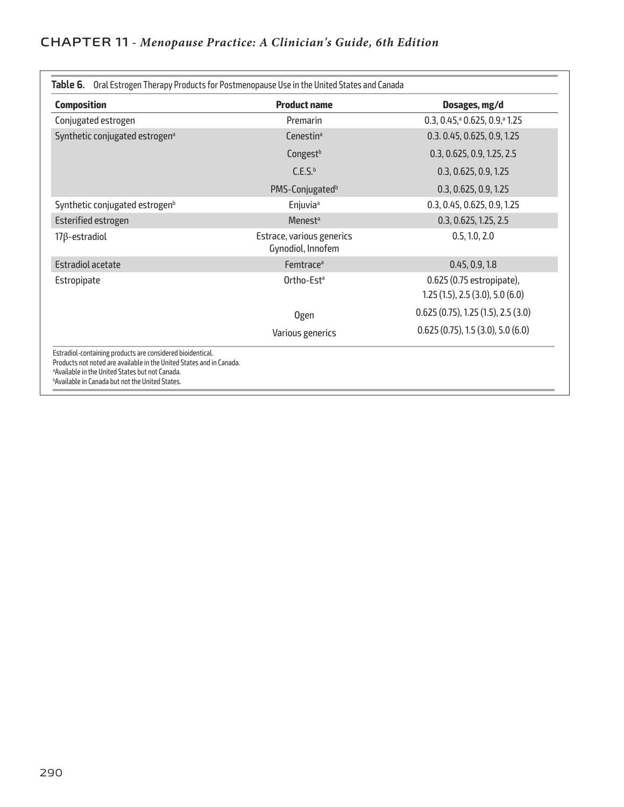| <b>Composition</b>                                                                                                                                                                                                                                          | <b>Product name</b>                            | Dosages, mg/d                                              |  |
|-------------------------------------------------------------------------------------------------------------------------------------------------------------------------------------------------------------------------------------------------------------|------------------------------------------------|------------------------------------------------------------|--|
| Conjugated estrogen                                                                                                                                                                                                                                         | Premarin                                       | $0.3, 0.45$ , $0.625, 0.9$ , $0.25$                        |  |
| Synthetic conjugated estrogen <sup>a</sup>                                                                                                                                                                                                                  | Cenestin <sup>a</sup>                          | 0.3. 0.45, 0.625, 0.9, 1.25                                |  |
|                                                                                                                                                                                                                                                             | Congest <sup>b</sup>                           | 0.3, 0.625, 0.9, 1.25, 2.5                                 |  |
|                                                                                                                                                                                                                                                             | C.E.S. <sup>b</sup>                            | 0.3, 0.625, 0.9, 1.25                                      |  |
|                                                                                                                                                                                                                                                             | PMS-Conjugated <sup>b</sup>                    | 0.3, 0.625, 0.9, 1.25                                      |  |
| Synthetic conjugated estrogen <sup>b</sup>                                                                                                                                                                                                                  | Enjuvia <sup>a</sup>                           | 0.3, 0.45, 0.625, 0.9, 1.25                                |  |
| <b>Esterified estrogen</b>                                                                                                                                                                                                                                  | <b>Menest<sup>a</sup></b>                      | 0.3, 0.625, 1.25, 2.5                                      |  |
| $17\beta$ -estradiol                                                                                                                                                                                                                                        | Estrace, various generics<br>Gynodiol, Innofem | 0.5, 1.0, 2.0                                              |  |
| <b>Estradiol acetate</b>                                                                                                                                                                                                                                    | Femtrace <sup>a</sup>                          | 0.45, 0.9, 1.8                                             |  |
| Estropipate                                                                                                                                                                                                                                                 | Ortho-Est <sup>a</sup>                         | 0.625 (0.75 estropipate),<br>1.25(1.5), 2.5(3.0), 5.0(6.0) |  |
|                                                                                                                                                                                                                                                             | <b>Ogen</b>                                    | 0.625(0.75), 1.25(1.5), 2.5(3.0)                           |  |
|                                                                                                                                                                                                                                                             | Various generics                               | 0.625(0.75), 1.5(3.0), 5.0(6.0)                            |  |
| Estradiol-containing products are considered bioidentical.<br>Products not noted are available in the United States and in Canada.<br><sup>a</sup> Available in the United States but not Canada.<br><b>bAvailable in Canada but not the United States.</b> |                                                |                                                            |  |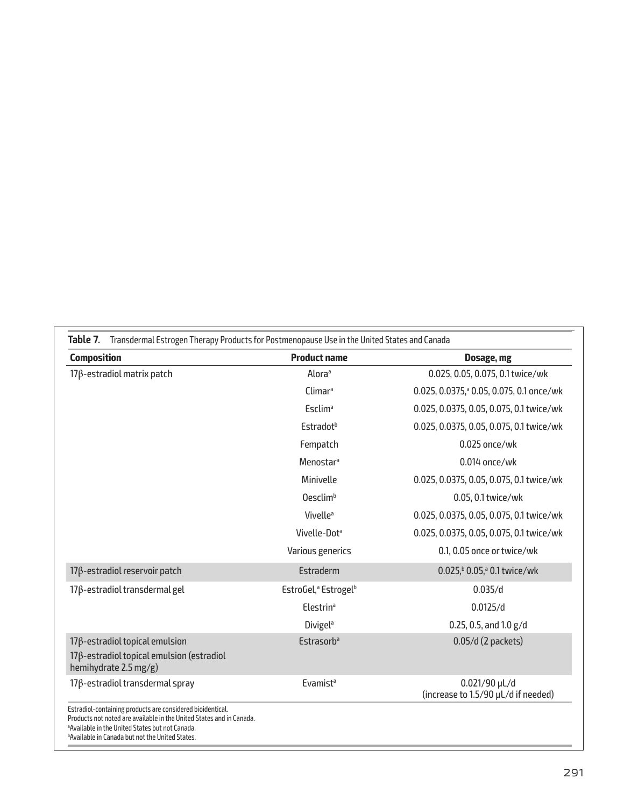| <b>Composition</b>                                                                                                 | <b>Product name</b>                          | Dosage, mg                                             |
|--------------------------------------------------------------------------------------------------------------------|----------------------------------------------|--------------------------------------------------------|
| $17\beta$ -estradiol matrix patch                                                                                  | Alora <sup>a</sup>                           | 0.025, 0.05, 0.075, 0.1 twice/wk                       |
|                                                                                                                    | Climar <sup>a</sup>                          | 0.025, 0.0375, <sup>a</sup> 0.05, 0.075, 0.1 once/wk   |
|                                                                                                                    | <b>Esclim</b> <sup>a</sup>                   | 0.025, 0.0375, 0.05, 0.075, 0.1 twice/wk               |
|                                                                                                                    | Estradot <sup>b</sup>                        | 0.025, 0.0375, 0.05, 0.075, 0.1 twice/wk               |
|                                                                                                                    | Fempatch                                     | 0.025 once/wk                                          |
|                                                                                                                    | Menostar <sup>a</sup>                        | 0.014 once/wk                                          |
|                                                                                                                    | Minivelle                                    | 0.025, 0.0375, 0.05, 0.075, 0.1 twice/wk               |
|                                                                                                                    | Oesclim <sup>b</sup>                         | 0.05, 0.1 twice/wk                                     |
|                                                                                                                    | Vivelle <sup>a</sup>                         | 0.025, 0.0375, 0.05, 0.075, 0.1 twice/wk               |
|                                                                                                                    | Vivelle-Dot <sup>a</sup>                     | 0.025, 0.0375, 0.05, 0.075, 0.1 twice/wk               |
|                                                                                                                    | Various generics                             | 0.1, 0.05 once or twice/wk                             |
| $17\beta$ -estradiol reservoir patch                                                                               | Estraderm                                    | 0.025, <sup>b</sup> 0.05, <sup>a</sup> 0.1 twice/wk    |
| $17\beta$ -estradiol transdermal gel                                                                               | EstroGel, <sup>a</sup> Estrogel <sup>b</sup> | 0.035/d                                                |
|                                                                                                                    | <b>Elestrin</b> <sup>a</sup>                 | 0.0125/d                                               |
|                                                                                                                    | <b>Divigel<sup>a</sup></b>                   | $0.25, 0.5,$ and $1.0 g/d$                             |
| $17\beta$ -estradiol topical emulsion<br>$17\beta$ -estradiol topical emulsion (estradiol<br>hemihydrate 2.5 mg/g) | <b>Estrasorb</b> <sup>a</sup>                | $0.05/d$ (2 packets)                                   |
| $17\beta$ -estradiol transdermal spray                                                                             | Evamist <sup>a</sup>                         | $0.021/90$ µL/d<br>(increase to 1.5/90 µL/d if needed) |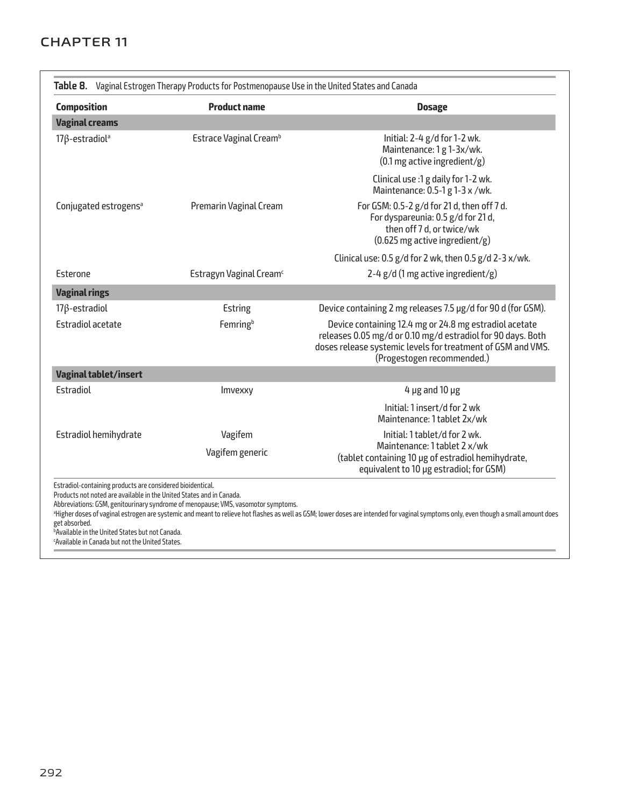## **CHAPTER 11**

| <b>Composition</b>                | <b>Product name</b>                 | <b>Dosage</b>                                                                                                                                                                                                      |  |
|-----------------------------------|-------------------------------------|--------------------------------------------------------------------------------------------------------------------------------------------------------------------------------------------------------------------|--|
| <b>Vaginal creams</b>             |                                     |                                                                                                                                                                                                                    |  |
| $17\beta$ -estradiol <sup>a</sup> | Estrace Vaginal Cream <sup>b</sup>  | Initial: 2-4 g/d for 1-2 wk.<br>Maintenance: 1 g 1-3x/wk.<br>$(0.1 \text{ mg}$ active ingredient/g)                                                                                                                |  |
|                                   |                                     | Clinical use :1 g daily for 1-2 wk.<br>Maintenance: 0.5-1 g 1-3 x /wk.                                                                                                                                             |  |
| Conjugated estrogens <sup>a</sup> | Premarin Vaginal Cream              | For GSM: 0.5-2 g/d for 21 d, then off 7 d.<br>For dyspareunia: 0.5 g/d for 21 d,<br>then off 7 d, or twice/wk<br>$(0.625 \text{ mg}$ active ingredient/g)                                                          |  |
|                                   |                                     | Clinical use: 0.5 g/d for 2 wk, then 0.5 g/d 2-3 x/wk.                                                                                                                                                             |  |
| Esterone                          | Estragyn Vaginal Cream <sup>c</sup> | 2-4 $g/d$ (1 mg active ingredient/g)                                                                                                                                                                               |  |
| <b>Vaginal rings</b>              |                                     |                                                                                                                                                                                                                    |  |
| $17\beta$ -estradiol              | Estring                             | Device containing 2 mg releases 7.5 µg/d for 90 d (for GSM).                                                                                                                                                       |  |
| <b>Estradiol acetate</b>          | Femringb                            | Device containing 12.4 mg or 24.8 mg estradiol acetate<br>releases 0.05 mg/d or 0.10 mg/d estradiol for 90 days. Both<br>doses release systemic levels for treatment of GSM and VMS.<br>(Progestogen recommended.) |  |
| <b>Vaginal tablet/insert</b>      |                                     |                                                                                                                                                                                                                    |  |
| Estradiol                         | Imvexxy                             | $4 \mu$ g and $10 \mu$ g                                                                                                                                                                                           |  |
|                                   |                                     | Initial: 1 insert/d for 2 wk<br>Maintenance: 1 tablet 2x/wk                                                                                                                                                        |  |
| Estradiol hemihydrate             | Vagifem                             | Initial: 1 tablet/d for 2 wk.                                                                                                                                                                                      |  |
|                                   | Vagifem generic                     | Maintenance: 1 tablet 2 x/wk<br>(tablet containing 10 µg of estradiol hemihydrate,<br>equivalent to 10 µg estradiol; for GSM)                                                                                      |  |

Available in the United States but not Canada. c Available in Canada but not the United States.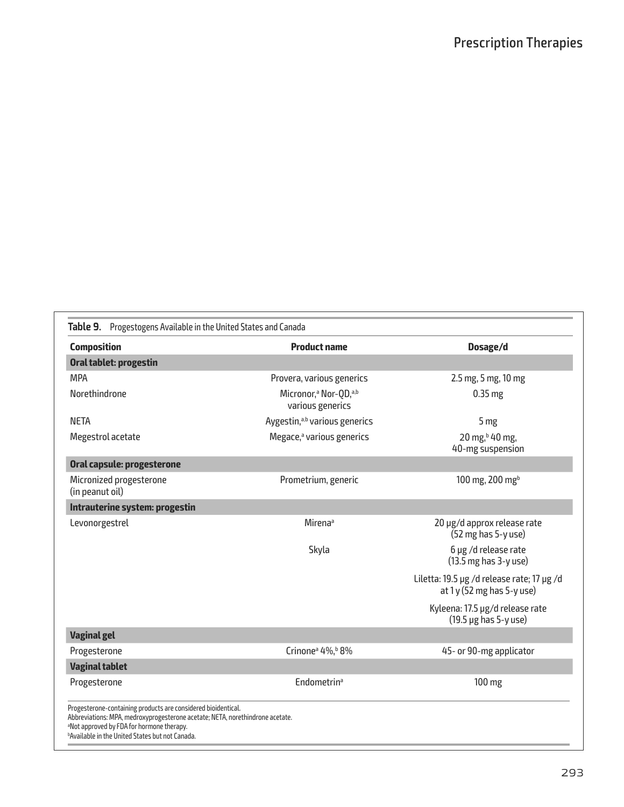| <b>Composition</b>                         | <b>Product name</b>                                               | Dosage/d                                                                                  |
|--------------------------------------------|-------------------------------------------------------------------|-------------------------------------------------------------------------------------------|
| Oral tablet: progestin                     |                                                                   |                                                                                           |
| <b>MPA</b>                                 | Provera, various generics                                         | 2.5 mg, 5 mg, 10 mg                                                                       |
| Norethindrone                              | Micronor, <sup>a</sup> Nor-OD, <sup>a,b</sup><br>various generics | $0.35$ mg                                                                                 |
| <b>NETA</b>                                | Aygestin, <sup>a,b</sup> various generics                         | 5 mg                                                                                      |
| Megestrol acetate                          | Megace, <sup>a</sup> various generics                             | 20 mg, <sup>b</sup> 40 mg,<br>40-mg suspension                                            |
| Oral capsule: progesterone                 |                                                                   |                                                                                           |
| Micronized progesterone<br>(in peanut oil) | Prometrium, generic                                               | 100 mg, 200 mg <sup>b</sup>                                                               |
| Intrauterine system: progestin             |                                                                   |                                                                                           |
| Levonorgestrel                             | <b>Mirena</b> <sup>a</sup>                                        | 20 µg/d approx release rate<br>(52 mg has 5-y use)                                        |
|                                            | Skyla                                                             | 6 µg /d release rate<br>$(13.5 \text{ mg has } 3$ -y use)                                 |
|                                            |                                                                   | Liletta: 19.5 µg /d release rate; 17 µg /d<br>at $1y(52 \text{ mg has } 5-y \text{ use})$ |
|                                            |                                                                   | Kyleena: 17.5 µg/d release rate<br>$(19.5 \,\mu g$ has 5-y use)                           |
| <b>Vaginal gel</b>                         |                                                                   |                                                                                           |
| Progesterone                               | Crinone <sup>a</sup> 4%, <sup>b</sup> 8%                          | 45- or 90-mg applicator                                                                   |
| <b>Vaginal tablet</b>                      |                                                                   |                                                                                           |
| Progesterone                               | <b>Endometrin<sup>a</sup></b>                                     | 100 mg                                                                                    |